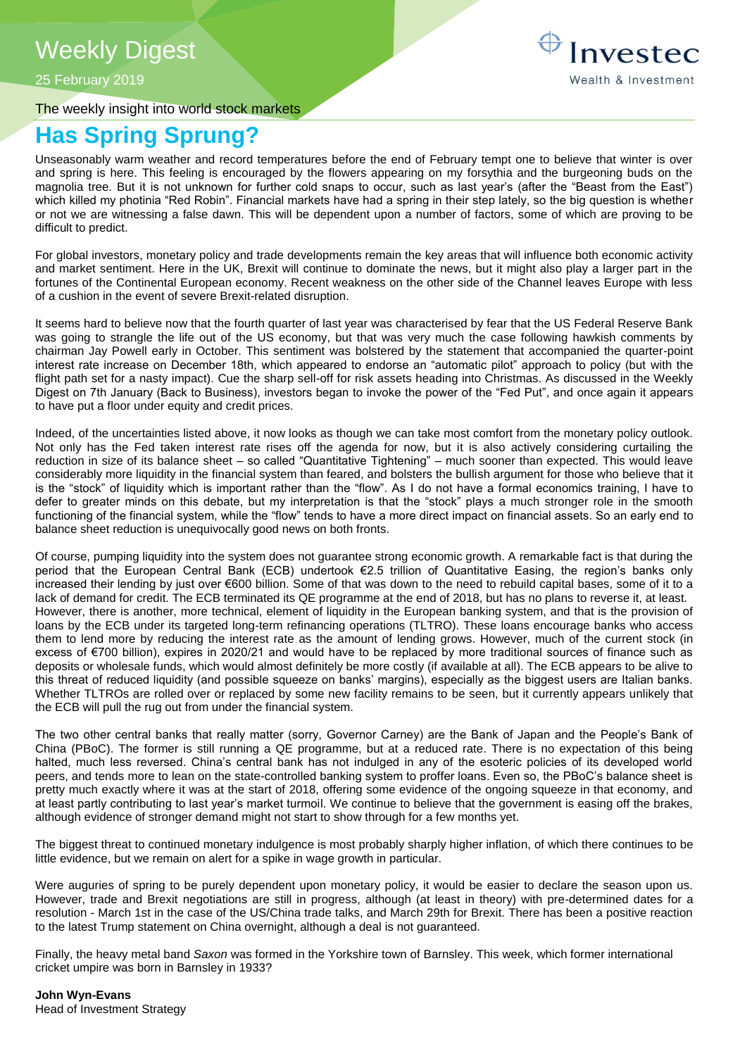# Weekly Digest

25 February 2019

The weekly insight into world stock markets

## **Has Spring Sprung?**

Unseasonably warm weather and record temperatures before the end of February tempt one to believe that winter is over and spring is here. This feeling is encouraged by the flowers appearing on my forsythia and the burgeoning buds on the magnolia tree. But it is not unknown for further cold snaps to occur, such as last year's (after the "Beast from the East") which killed my photinia "Red Robin". Financial markets have had a spring in their step lately, so the big question is whether or not we are witnessing a false dawn. This will be dependent upon a number of factors, some of which are proving to be difficult to predict.

For global investors, monetary policy and trade developments remain the key areas that will influence both economic activity and market sentiment. Here in the UK, Brexit will continue to dominate the news, but it might also play a larger part in the fortunes of the Continental European economy. Recent weakness on the other side of the Channel leaves Europe with less of a cushion in the event of severe Brexit-related disruption.

It seems hard to believe now that the fourth quarter of last year was characterised by fear that the US Federal Reserve Bank was going to strangle the life out of the US economy, but that was very much the case following hawkish comments by chairman Jay Powell early in October. This sentiment was bolstered by the statement that accompanied the quarter-point interest rate increase on December 18th, which appeared to endorse an "automatic pilot" approach to policy (but with the flight path set for a nasty impact). Cue the sharp sell-off for risk assets heading into Christmas. As discussed in the Weekly Digest on 7th January (Back to Business), investors began to invoke the power of the "Fed Put", and once again it appears to have put a floor under equity and credit prices.

Indeed, of the uncertainties listed above, it now looks as though we can take most comfort from the monetary policy outlook. Not only has the Fed taken interest rate rises off the agenda for now, but it is also actively considering curtailing the reduction in size of its balance sheet – so called "Quantitative Tightening" – much sooner than expected. This would leave considerably more liquidity in the financial system than feared, and bolsters the bullish argument for those who believe that it is the "stock" of liquidity which is important rather than the "flow". As I do not have a formal economics training, I have to defer to greater minds on this debate, but my interpretation is that the "stock" plays a much stronger role in the smooth functioning of the financial system, while the "flow" tends to have a more direct impact on financial assets. So an early end to balance sheet reduction is unequivocally good news on both fronts.

Of course, pumping liquidity into the system does not guarantee strong economic growth. A remarkable fact is that during the period that the European Central Bank (ECB) undertook €2.5 trillion of Quantitative Easing, the region's banks only increased their lending by just over €600 billion. Some of that was down to the need to rebuild capital bases, some of it to a lack of demand for credit. The ECB terminated its QE programme at the end of 2018, but has no plans to reverse it, at least. However, there is another, more technical, element of liquidity in the European banking system, and that is the provision of loans by the ECB under its targeted long-term refinancing operations (TLTRO). These loans encourage banks who access them to lend more by reducing the interest rate as the amount of lending grows. However, much of the current stock (in excess of €700 billion), expires in 2020/21 and would have to be replaced by more traditional sources of finance such as deposits or wholesale funds, which would almost definitely be more costly (if available at all). The ECB appears to be alive to this threat of reduced liquidity (and possible squeeze on banks' margins), especially as the biggest users are Italian banks. Whether TLTROs are rolled over or replaced by some new facility remains to be seen, but it currently appears unlikely that the ECB will pull the rug out from under the financial system.

The two other central banks that really matter (sorry, Governor Carney) are the Bank of Japan and the People's Bank of China (PBoC). The former is still running a QE programme, but at a reduced rate. There is no expectation of this being halted, much less reversed. China's central bank has not indulged in any of the esoteric policies of its developed world peers, and tends more to lean on the state-controlled banking system to proffer loans. Even so, the PBoC's balance sheet is pretty much exactly where it was at the start of 2018, offering some evidence of the ongoing squeeze in that economy, and at least partly contributing to last year's market turmoil. We continue to believe that the government is easing off the brakes, although evidence of stronger demand might not start to show through for a few months yet.

The biggest threat to continued monetary indulgence is most probably sharply higher inflation, of which there continues to be little evidence, but we remain on alert for a spike in wage growth in particular.

Were auguries of spring to be purely dependent upon monetary policy, it would be easier to declare the season upon us. However, trade and Brexit negotiations are still in progress, although (at least in theory) with pre-determined dates for a resolution - March 1st in the case of the US/China trade talks, and March 29th for Brexit. There has been a positive reaction to the latest Trump statement on China overnight, although a deal is not guaranteed.

Finally, the heavy metal band *Saxon* was formed in the Yorkshire town of Barnsley. This week, which former international cricket umpire was born in Barnsley in 1933?

**John Wyn-Evans**  Head of Investment Strategy